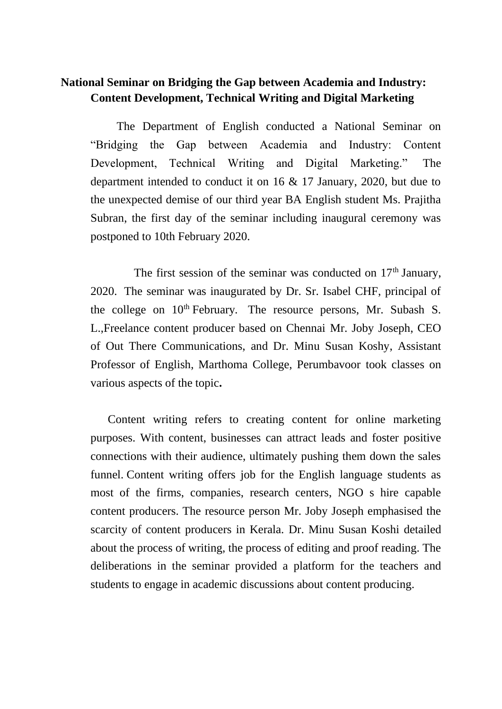## **National Seminar on Bridging the Gap between Academia and Industry: Content Development, Technical Writing and Digital Marketing**

 The Department of English conducted a National Seminar on "Bridging the Gap between Academia and Industry: Content Development, Technical Writing and Digital Marketing." The department intended to conduct it on 16 & 17 January, 2020, but due to the unexpected demise of our third year BA English student Ms. Prajitha Subran, the first day of the seminar including inaugural ceremony was postponed to 10th February 2020.

The first session of the seminar was conducted on  $17<sup>th</sup>$  January, 2020. The seminar was inaugurated by Dr. Sr. Isabel CHF, principal of the college on 10<sup>th</sup> February. The resource persons, Mr. Subash S. L.,Freelance content producer based on Chennai Mr. Joby Joseph, CEO of Out There Communications, and Dr. Minu Susan Koshy, Assistant Professor of English, Marthoma College, Perumbavoor took classes on various aspects of the topic**.**

Content writing refers to creating content for online marketing purposes. With content, businesses can attract leads and foster positive connections with their audience, ultimately pushing them down the sales funnel. Content writing offers job for the English language students as most of the firms, companies, research centers, NGO s hire capable content producers. The resource person Mr. Joby Joseph emphasised the scarcity of content producers in Kerala. Dr. Minu Susan Koshi detailed about the process of writing, the process of editing and proof reading. The deliberations in the seminar provided a platform for the teachers and students to engage in academic discussions about content producing.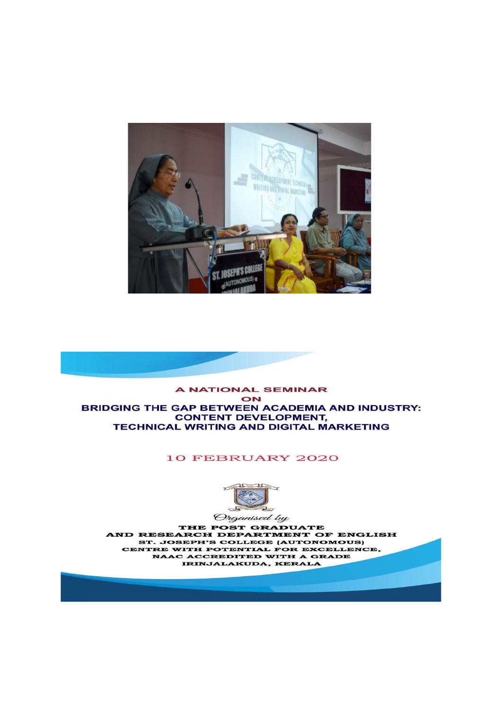



## **10 FEBRUARY 2020**



THE POST GRADUATE AND RESEARCH DEPARTMENT OF ENGLISH ST. JOSEPH'S COLLEGE (AUTONOMOUS) CENTRE WITH POTENTIAL FOR EXCELLENCE, NAAC ACCREDITED WITH A GRADE IRINJALAKUDA, KERALA